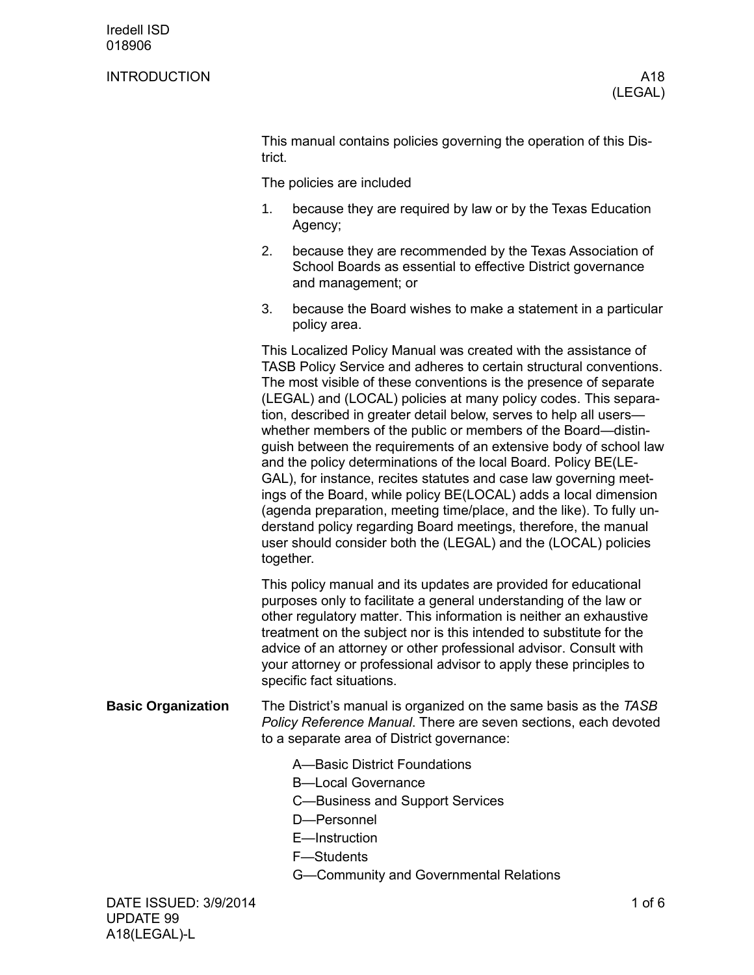## INTRODUCTION A18

This manual contains policies governing the operation of this District.

The policies are included

- 1. because they are required by law or by the Texas Education Agency;
- 2. because they are recommended by the Texas Association of School Boards as essential to effective District governance and management; or
- 3. because the Board wishes to make a statement in a particular policy area.

This Localized Policy Manual was created with the assistance of TASB Policy Service and adheres to certain structural conventions. The most visible of these conventions is the presence of separate (LEGAL) and (LOCAL) policies at many policy codes. This separation, described in greater detail below, serves to help all users whether members of the public or members of the Board—distinguish between the requirements of an extensive body of school law and the policy determinations of the local Board. Policy BE(LE-GAL), for instance, recites statutes and case law governing meetings of the Board, while policy BE(LOCAL) adds a local dimension (agenda preparation, meeting time/place, and the like). To fully understand policy regarding Board meetings, therefore, the manual user should consider both the (LEGAL) and the (LOCAL) policies together.

This policy manual and its updates are provided for educational purposes only to facilitate a general understanding of the law or other regulatory matter. This information is neither an exhaustive treatment on the subject nor is this intended to substitute for the advice of an attorney or other professional advisor. Consult with your attorney or professional advisor to apply these principles to specific fact situations.

- The District's manual is organized on the same basis as the *TASB Policy Reference Manual*. There are seven sections, each devoted to a separate area of District governance: **Basic Organization**
	- A—Basic District Foundations
	- B—Local Governance
	- C—Business and Support Services
	- D—Personnel
	- E—Instruction
	- F—Students
	- G—Community and Governmental Relations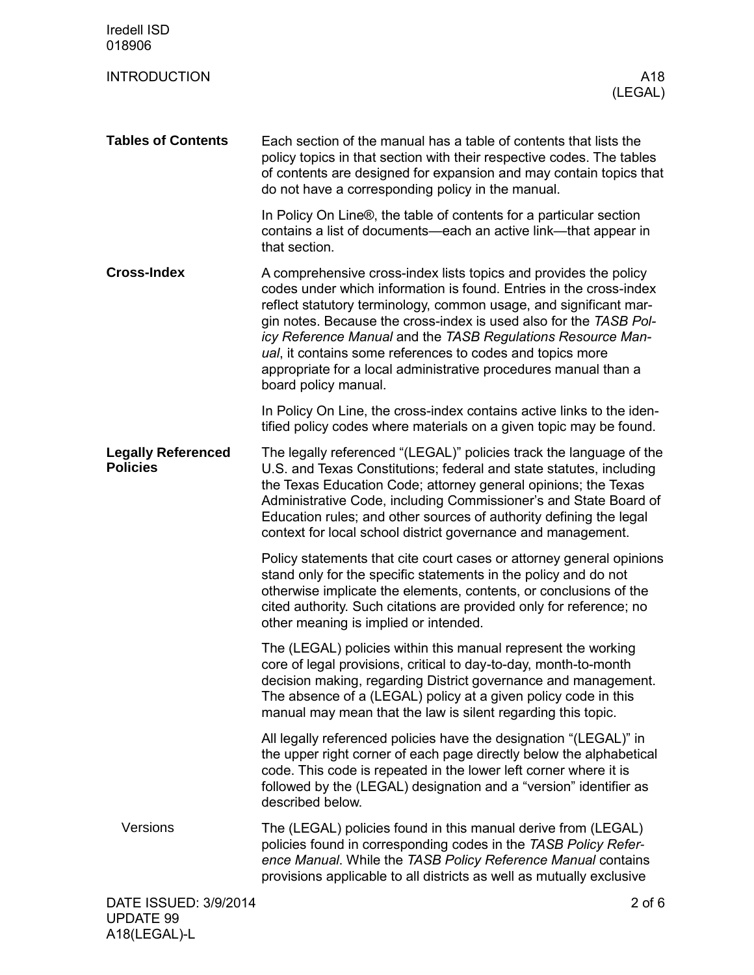| <b>Iredell ISD</b><br>018906                 |                                                                                                                                                                                                                                                                                                                                                                                                                                                                                                         |
|----------------------------------------------|---------------------------------------------------------------------------------------------------------------------------------------------------------------------------------------------------------------------------------------------------------------------------------------------------------------------------------------------------------------------------------------------------------------------------------------------------------------------------------------------------------|
| <b>INTRODUCTION</b>                          | A18<br>(LEGAL)                                                                                                                                                                                                                                                                                                                                                                                                                                                                                          |
| <b>Tables of Contents</b>                    | Each section of the manual has a table of contents that lists the<br>policy topics in that section with their respective codes. The tables<br>of contents are designed for expansion and may contain topics that<br>do not have a corresponding policy in the manual.                                                                                                                                                                                                                                   |
|                                              | In Policy On Line®, the table of contents for a particular section<br>contains a list of documents—each an active link—that appear in<br>that section.                                                                                                                                                                                                                                                                                                                                                  |
| <b>Cross-Index</b>                           | A comprehensive cross-index lists topics and provides the policy<br>codes under which information is found. Entries in the cross-index<br>reflect statutory terminology, common usage, and significant mar-<br>gin notes. Because the cross-index is used also for the TASB Pol-<br>icy Reference Manual and the TASB Regulations Resource Man-<br>ual, it contains some references to codes and topics more<br>appropriate for a local administrative procedures manual than a<br>board policy manual. |
|                                              | In Policy On Line, the cross-index contains active links to the iden-<br>tified policy codes where materials on a given topic may be found.                                                                                                                                                                                                                                                                                                                                                             |
| <b>Legally Referenced</b><br><b>Policies</b> | The legally referenced "(LEGAL)" policies track the language of the<br>U.S. and Texas Constitutions; federal and state statutes, including<br>the Texas Education Code; attorney general opinions; the Texas<br>Administrative Code, including Commissioner's and State Board of<br>Education rules; and other sources of authority defining the legal<br>context for local school district governance and management.                                                                                  |
|                                              | Policy statements that cite court cases or attorney general opinions<br>stand only for the specific statements in the policy and do not<br>otherwise implicate the elements, contents, or conclusions of the<br>cited authority. Such citations are provided only for reference; no<br>other meaning is implied or intended.                                                                                                                                                                            |
|                                              | The (LEGAL) policies within this manual represent the working<br>core of legal provisions, critical to day-to-day, month-to-month<br>decision making, regarding District governance and management.<br>The absence of a (LEGAL) policy at a given policy code in this<br>manual may mean that the law is silent regarding this topic.                                                                                                                                                                   |
|                                              | All legally referenced policies have the designation "(LEGAL)" in<br>the upper right corner of each page directly below the alphabetical<br>code. This code is repeated in the lower left corner where it is<br>followed by the (LEGAL) designation and a "version" identifier as<br>described below.                                                                                                                                                                                                   |
| Versions                                     | The (LEGAL) policies found in this manual derive from (LEGAL)<br>policies found in corresponding codes in the TASB Policy Refer-<br>ence Manual. While the TASB Policy Reference Manual contains<br>provisions applicable to all districts as well as mutually exclusive                                                                                                                                                                                                                                |
| DATE ISSUED: 3/9/2014<br><b>UPDATE 99</b>    | $2$ of $6$                                                                                                                                                                                                                                                                                                                                                                                                                                                                                              |

A18(LEGAL)-L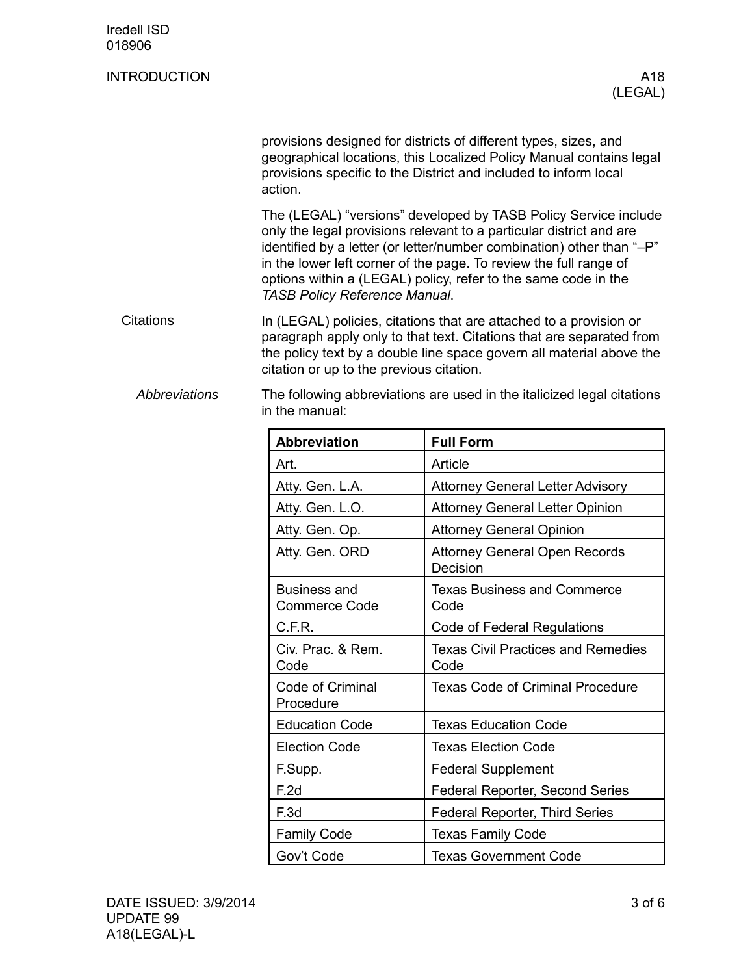| <b>Iredell ISD</b><br>018906 |                                                                                                                                                                                                                                                                                                                                                                                                |                                                   |  |  |  |
|------------------------------|------------------------------------------------------------------------------------------------------------------------------------------------------------------------------------------------------------------------------------------------------------------------------------------------------------------------------------------------------------------------------------------------|---------------------------------------------------|--|--|--|
| <b>INTRODUCTION</b>          |                                                                                                                                                                                                                                                                                                                                                                                                | A18<br>(LEGAL)                                    |  |  |  |
|                              | provisions designed for districts of different types, sizes, and<br>geographical locations, this Localized Policy Manual contains legal<br>provisions specific to the District and included to inform local<br>action.                                                                                                                                                                         |                                                   |  |  |  |
|                              | The (LEGAL) "versions" developed by TASB Policy Service include<br>only the legal provisions relevant to a particular district and are<br>identified by a letter (or letter/number combination) other than "-P"<br>in the lower left corner of the page. To review the full range of<br>options within a (LEGAL) policy, refer to the same code in the<br><b>TASB Policy Reference Manual.</b> |                                                   |  |  |  |
| <b>Citations</b>             | In (LEGAL) policies, citations that are attached to a provision or<br>paragraph apply only to that text. Citations that are separated from<br>the policy text by a double line space govern all material above the<br>citation or up to the previous citation.                                                                                                                                 |                                                   |  |  |  |
| <b>Abbreviations</b>         | The following abbreviations are used in the italicized legal citations<br>in the manual:                                                                                                                                                                                                                                                                                                       |                                                   |  |  |  |
|                              | <b>Abbreviation</b>                                                                                                                                                                                                                                                                                                                                                                            | <b>Full Form</b>                                  |  |  |  |
|                              | Art.                                                                                                                                                                                                                                                                                                                                                                                           | Article                                           |  |  |  |
|                              | Atty. Gen. L.A.                                                                                                                                                                                                                                                                                                                                                                                | <b>Attorney General Letter Advisory</b>           |  |  |  |
|                              | Atty. Gen. L.O.                                                                                                                                                                                                                                                                                                                                                                                | <b>Attorney General Letter Opinion</b>            |  |  |  |
|                              | Atty. Gen. Op.                                                                                                                                                                                                                                                                                                                                                                                 | <b>Attorney General Opinion</b>                   |  |  |  |
|                              | Atty. Gen. ORD                                                                                                                                                                                                                                                                                                                                                                                 | <b>Attorney General Open Records</b><br>Decision  |  |  |  |
|                              | <b>Business and</b><br><b>Commerce Code</b>                                                                                                                                                                                                                                                                                                                                                    | <b>Texas Business and Commerce</b><br>Code        |  |  |  |
|                              | C.F.R.                                                                                                                                                                                                                                                                                                                                                                                         | Code of Federal Regulations                       |  |  |  |
|                              | Civ. Prac. & Rem.<br>Code                                                                                                                                                                                                                                                                                                                                                                      | <b>Texas Civil Practices and Remedies</b><br>Code |  |  |  |
|                              | Code of Criminal<br>Procedure                                                                                                                                                                                                                                                                                                                                                                  | <b>Texas Code of Criminal Procedure</b>           |  |  |  |
|                              | <b>Education Code</b>                                                                                                                                                                                                                                                                                                                                                                          | <b>Texas Education Code</b>                       |  |  |  |
|                              | <b>Election Code</b>                                                                                                                                                                                                                                                                                                                                                                           | <b>Texas Election Code</b>                        |  |  |  |
|                              | F.Supp.                                                                                                                                                                                                                                                                                                                                                                                        | <b>Federal Supplement</b>                         |  |  |  |
|                              | F.2d                                                                                                                                                                                                                                                                                                                                                                                           | Federal Reporter, Second Series                   |  |  |  |
|                              |                                                                                                                                                                                                                                                                                                                                                                                                |                                                   |  |  |  |

Family Code **Texas Family Code** 

Gov't Code **Texas Government Code**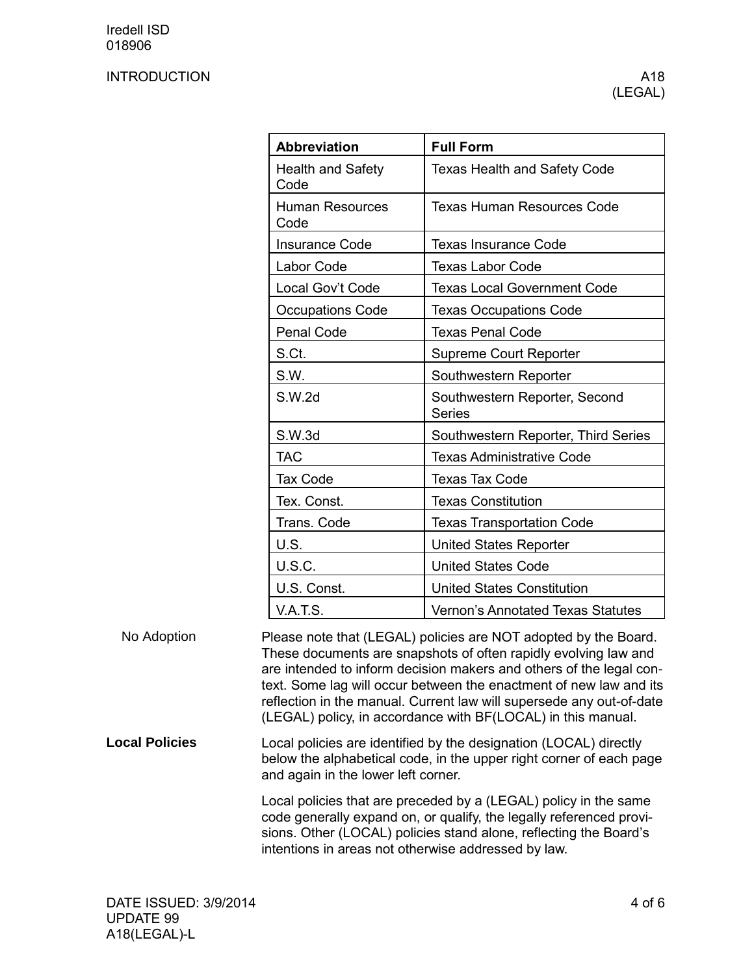## INTRODUCTION A18

| <b>Abbreviation</b>              | <b>Full Form</b>                               |
|----------------------------------|------------------------------------------------|
| <b>Health and Safety</b><br>Code | <b>Texas Health and Safety Code</b>            |
| <b>Human Resources</b><br>Code   | Texas Human Resources Code                     |
| <b>Insurance Code</b>            | <b>Texas Insurance Code</b>                    |
| Labor Code                       | <b>Texas Labor Code</b>                        |
| Local Gov't Code                 | <b>Texas Local Government Code</b>             |
| <b>Occupations Code</b>          | <b>Texas Occupations Code</b>                  |
| Penal Code                       | <b>Texas Penal Code</b>                        |
| S.Ct.                            | <b>Supreme Court Reporter</b>                  |
| S.W.                             | Southwestern Reporter                          |
| S.W.2d                           | Southwestern Reporter, Second<br><b>Series</b> |
| S.W.3d                           | Southwestern Reporter, Third Series            |
| <b>TAC</b>                       | <b>Texas Administrative Code</b>               |
| <b>Tax Code</b>                  | <b>Texas Tax Code</b>                          |
| Tex. Const.                      | <b>Texas Constitution</b>                      |
| Trans. Code                      | <b>Texas Transportation Code</b>               |
| U.S.                             | <b>United States Reporter</b>                  |
| U.S.C.                           | <b>United States Code</b>                      |
| U.S. Const.                      | <b>United States Constitution</b>              |
| <b>V.A.T.S.</b>                  | <b>Vernon's Annotated Texas Statutes</b>       |

Please note that (LEGAL) policies are NOT adopted by the Board. These documents are snapshots of often rapidly evolving law and are intended to inform decision makers and others of the legal context. Some lag will occur between the enactment of new law and its reflection in the manual. Current law will supersede any out-of-date (LEGAL) policy, in accordance with BF(LOCAL) in this manual. No Adoption

Local policies are identified by the designation (LOCAL) directly below the alphabetical code, in the upper right corner of each page and again in the lower left corner. **Local Policies**

> Local policies that are preceded by a (LEGAL) policy in the same code generally expand on, or qualify, the legally referenced provisions. Other (LOCAL) policies stand alone, reflecting the Board's intentions in areas not otherwise addressed by law.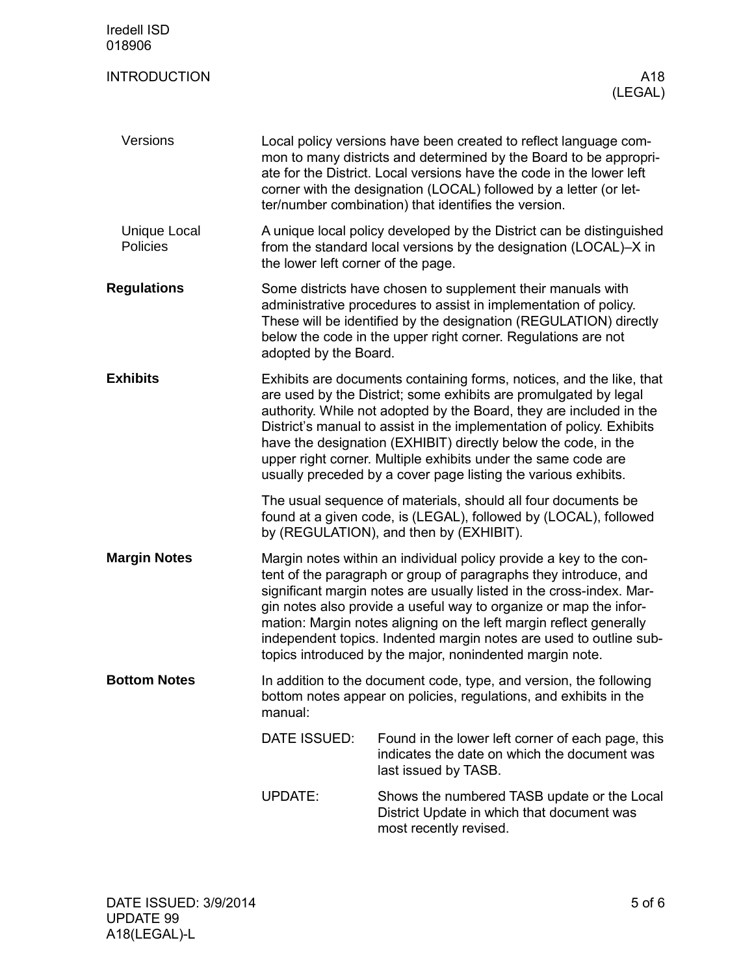| <b>Iredell ISD</b><br>018906           |                                                                                                                                                                                                                                                                                                                                                                                                                                                                                               |                                                                                                                                                                                                                                                                       |  |  |
|----------------------------------------|-----------------------------------------------------------------------------------------------------------------------------------------------------------------------------------------------------------------------------------------------------------------------------------------------------------------------------------------------------------------------------------------------------------------------------------------------------------------------------------------------|-----------------------------------------------------------------------------------------------------------------------------------------------------------------------------------------------------------------------------------------------------------------------|--|--|
| <b>INTRODUCTION</b>                    |                                                                                                                                                                                                                                                                                                                                                                                                                                                                                               | A18<br>(LEGAL)                                                                                                                                                                                                                                                        |  |  |
| Versions                               | Local policy versions have been created to reflect language com-<br>mon to many districts and determined by the Board to be appropri-<br>ate for the District. Local versions have the code in the lower left<br>corner with the designation (LOCAL) followed by a letter (or let-<br>ter/number combination) that identifies the version.                                                                                                                                                    |                                                                                                                                                                                                                                                                       |  |  |
| <b>Unique Local</b><br><b>Policies</b> | A unique local policy developed by the District can be distinguished<br>from the standard local versions by the designation (LOCAL)-X in<br>the lower left corner of the page.                                                                                                                                                                                                                                                                                                                |                                                                                                                                                                                                                                                                       |  |  |
| <b>Regulations</b>                     | adopted by the Board.                                                                                                                                                                                                                                                                                                                                                                                                                                                                         | Some districts have chosen to supplement their manuals with<br>administrative procedures to assist in implementation of policy.<br>These will be identified by the designation (REGULATION) directly<br>below the code in the upper right corner. Regulations are not |  |  |
| <b>Exhibits</b>                        | Exhibits are documents containing forms, notices, and the like, that<br>are used by the District; some exhibits are promulgated by legal<br>authority. While not adopted by the Board, they are included in the<br>District's manual to assist in the implementation of policy. Exhibits<br>have the designation (EXHIBIT) directly below the code, in the<br>upper right corner. Multiple exhibits under the same code are<br>usually preceded by a cover page listing the various exhibits. |                                                                                                                                                                                                                                                                       |  |  |
|                                        | The usual sequence of materials, should all four documents be<br>found at a given code, is (LEGAL), followed by (LOCAL), followed<br>by (REGULATION), and then by (EXHIBIT).                                                                                                                                                                                                                                                                                                                  |                                                                                                                                                                                                                                                                       |  |  |
| <b>Margin Notes</b>                    | Margin notes within an individual policy provide a key to the con-<br>tent of the paragraph or group of paragraphs they introduce, and<br>significant margin notes are usually listed in the cross-index. Mar-<br>gin notes also provide a useful way to organize or map the infor-<br>mation: Margin notes aligning on the left margin reflect generally<br>independent topics. Indented margin notes are used to outline sub-<br>topics introduced by the major, nonindented margin note.   |                                                                                                                                                                                                                                                                       |  |  |
| <b>Bottom Notes</b>                    | In addition to the document code, type, and version, the following<br>bottom notes appear on policies, regulations, and exhibits in the<br>manual:                                                                                                                                                                                                                                                                                                                                            |                                                                                                                                                                                                                                                                       |  |  |
|                                        | DATE ISSUED:                                                                                                                                                                                                                                                                                                                                                                                                                                                                                  | Found in the lower left corner of each page, this<br>indicates the date on which the document was<br>last issued by TASB.                                                                                                                                             |  |  |
|                                        | <b>UPDATE:</b>                                                                                                                                                                                                                                                                                                                                                                                                                                                                                | Shows the numbered TASB update or the Local<br>District Update in which that document was<br>most recently revised.                                                                                                                                                   |  |  |